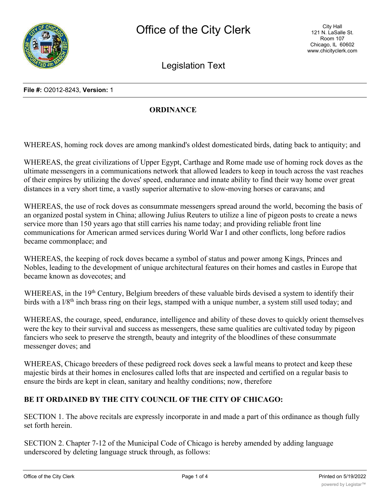Legislation Text

## **File #:** O2012-8243, **Version:** 1

## **ORDINANCE**

WHEREAS, homing rock doves are among mankind's oldest domesticated birds, dating back to antiquity; and

WHEREAS, the great civilizations of Upper Egypt, Carthage and Rome made use of homing rock doves as the ultimate messengers in a communications network that allowed leaders to keep in touch across the vast reaches of their empires by utilizing the doves' speed, endurance and innate ability to find their way home over great distances in a very short time, a vastly superior alternative to slow-moving horses or caravans; and

WHEREAS, the use of rock doves as consummate messengers spread around the world, becoming the basis of an organized postal system in China; allowing Julius Reuters to utilize a line of pigeon posts to create a news service more than 150 years ago that still carries his name today; and providing reliable front line communications for American armed services during World War I and other conflicts, long before radios became commonplace; and

WHEREAS, the keeping of rock doves became a symbol of status and power among Kings, Princes and Nobles, leading to the development of unique architectural features on their homes and castles in Europe that became known as dovecotes; and

WHEREAS, in the 19<sup>th</sup> Century, Belgium breeders of these valuable birds devised a system to identify their birds with a  $1/8<sup>th</sup>$  inch brass ring on their legs, stamped with a unique number, a system still used today; and

WHEREAS, the courage, speed, endurance, intelligence and ability of these doves to quickly orient themselves were the key to their survival and success as messengers, these same qualities are cultivated today by pigeon fanciers who seek to preserve the strength, beauty and integrity of the bloodlines of these consummate messenger doves; and

WHEREAS, Chicago breeders of these pedigreed rock doves seek a lawful means to protect and keep these majestic birds at their homes in enclosures called lofts that are inspected and certified on a regular basis to ensure the birds are kept in clean, sanitary and healthy conditions; now, therefore

## **BE IT ORDAINED BY THE CITY COUNCIL OF THE CITY OF CHICAGO:**

SECTION 1. The above recitals are expressly incorporate in and made a part of this ordinance as though fully set forth herein.

SECTION 2. Chapter 7-12 of the Municipal Code of Chicago is hereby amended by adding language underscored by deleting language struck through, as follows: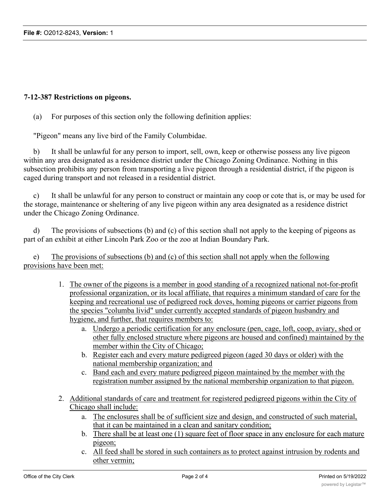## **7-12-387 Restrictions on pigeons.**

(a) For purposes of this section only the following definition applies:

"Pigeon" means any live bird of the Family Columbidae.

b) It shall be unlawful for any person to import, sell, own, keep or otherwise possess any live pigeon within any area designated as a residence district under the Chicago Zoning Ordinance. Nothing in this subsection prohibits any person from transporting a live pigeon through a residential district, if the pigeon is caged during transport and not released in a residential district.

c) It shall be unlawful for any person to construct or maintain any coop or cote that is, or may be used for the storage, maintenance or sheltering of any live pigeon within any area designated as a residence district under the Chicago Zoning Ordinance.

d) The provisions of subsections (b) and (c) of this section shall not apply to the keeping of pigeons as part of an exhibit at either Lincoln Park Zoo or the zoo at Indian Boundary Park.

e) The provisions of subsections (b) and (c) of this section shall not apply when the following provisions have been met:

- 1. The owner of the pigeons is a member in good standing of a recognized national not-for-profit professional organization, or its local affiliate, that requires a minimum standard of care for the keeping and recreational use of pedigreed rock doves, homing pigeons or carrier pigeons from the species "columba livid" under currently accepted standards of pigeon husbandry and hygiene, and further, that requires members to:
	- a. Undergo a periodic certification for any enclosure (pen, cage, loft, coop, aviary, shed or other fully enclosed structure where pigeons are housed and confined) maintained by the member within the City of Chicago;
	- b. Register each and every mature pedigreed pigeon (aged 30 days or older) with the national membership organization; and
	- c. Band each and every mature pedigreed pigeon maintained by the member with the registration number assigned by the national membership organization to that pigeon.
- 2. Additional standards of care and treatment for registered pedigreed pigeons within the City of Chicago shall include:
	- a. The enclosures shall be of sufficient size and design, and constructed of such material, that it can be maintained in a clean and sanitary condition;
	- b. There shall be at least one (1) square feet of floor space in any enclosure for each mature pigeon;
	- c. All feed shall be stored in such containers as to protect against intrusion by rodents and other vermin;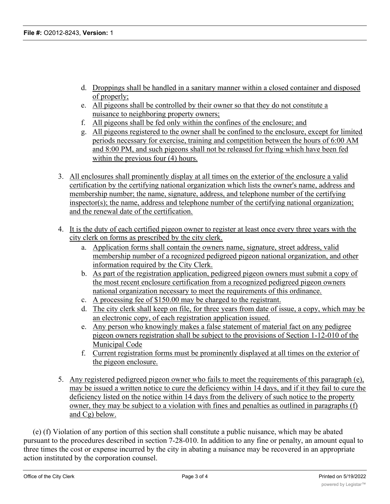- d. Droppings shall be handled in a sanitary manner within a closed container and disposed of properly;
- e. All pigeons shall be controlled by their owner so that they do not constitute a nuisance to neighboring property owners;
- f. All pigeons shall be fed only within the confines of the enclosure; and
- g. All pigeons registered to the owner shall be confined to the enclosure, except for limited periods necessary for exercise, training and competition between the hours of 6:00 AM and 8:00 PM, and such pigeons shall not be released for flying which have been fed within the previous four (4) hours.
- 3. All enclosures shall prominently display at all times on the exterior of the enclosure a valid certification by the certifying national organization which lists the owner's name, address and membership number; the name, signature, address, and telephone number of the certifying inspector(s); the name, address and telephone number of the certifying national organization; and the renewal date of the certification.
- 4. It is the duty of each certified pigeon owner to register at least once every three years with the city clerk on forms as prescribed by the city clerk.
	- a. Application forms shall contain the owners name, signature, street address, valid membership number of a recognized pedigreed pigeon national organization, and other information required by the City Clerk.
	- b. As part of the registration application, pedigreed pigeon owners must submit a copy of the most recent enclosure certification from a recognized pedigreed pigeon owners national organization necessary to meet the requirements of this ordinance.
	- c. A processing fee of \$150.00 may be charged to the registrant.
	- d. The city clerk shall keep on file, for three years from date of issue, a copy, which may be an electronic copy, of each registration application issued.
	- e. Any person who knowingly makes a false statement of material fact on any pedigree pigeon owners registration shall be subject to the provisions of Section 1-12-010 of the Municipal Code
	- f. Current registration forms must be prominently displayed at all times on the exterior of the pigeon enclosure.
- 5. Any registered pedigreed pigeon owner who fails to meet the requirements of this paragraph (e), may be issued a written notice to cure the deficiency within 14 days, and if it they fail to cure the deficiency listed on the notice within 14 days from the delivery of such notice to the property owner, they may be subject to a violation with fines and penalties as outlined in paragraphs (f) and Cg) below.

(e) (f) Violation of any portion of this section shall constitute a public nuisance, which may be abated pursuant to the procedures described in section 7-28-010. In addition to any fine or penalty, an amount equal to three times the cost or expense incurred by the city in abating a nuisance may be recovered in an appropriate action instituted by the corporation counsel.